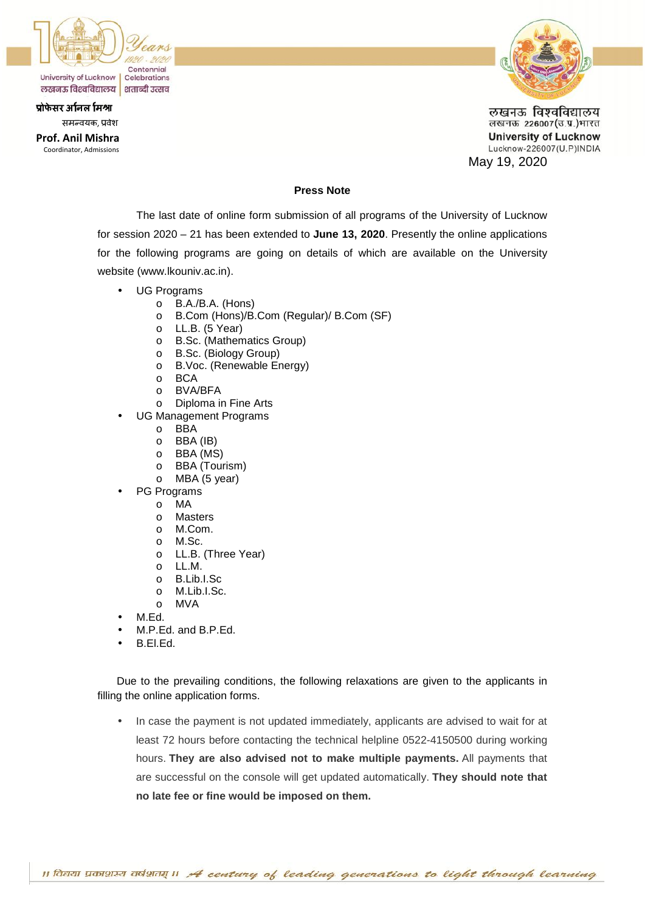

समन्वयक, प्रवेश

**Prof. Anil Mishra** Coordinator, Admissions



लखनऊ विश्वविद्यालय लखनऊ 226007(उ.प्र.)भारत **University of Lucknow** Lucknow-226007(U.P)INDIA May 19, 2020

### **Press Note**

The last date of online form submission of all programs of the University of Lucknow for session 2020 – 21 has been extended to **June 13, 2020**. Presently the online applications for the following programs are going on details of which are available on the University website (www.lkouniv.ac.in).

- UG Programs
	- o B.A./B.A. (Hons)
	- o B.Com (Hons)/B.Com (Regular)/ B.Com (SF)
	- o LL.B. (5 Year)
	- o B.Sc. (Mathematics Group)
	- o B.Sc. (Biology Group)
	- o B.Voc. (Renewable Energy)
	- o BCA
	- o BVA/BFA
	- o Diploma in Fine Arts
- UG Management Programs
	- o BBA
	- o BBA (IB)<br>o BBA (MS
	- BBA (MS)
	- o BBA (Tourism)
	- o MBA (5 year)
- PG Programs
	- o MA
	- o Masters
	- o M.Com.
	- o M.Sc.
	- o LL.B. (Three Year)
	- o LL.M.
	- o B.Lib.I.Sc
	- o M.Lib.I.Sc.
	- o MVA
- M.Ed.
- M.P.Ed. and B.P.Ed.
- B.El.Ed.

Due to the prevailing conditions, the following relaxations are given to the applicants in filling the online application forms.

• In case the payment is not updated immediately, applicants are advised to wait for at least 72 hours before contacting the technical helpline 0522-4150500 during working hours. **They are also advised not to make multiple payments.** All payments that are successful on the console will get updated automatically. **They should note that no late fee or fine would be imposed on them.**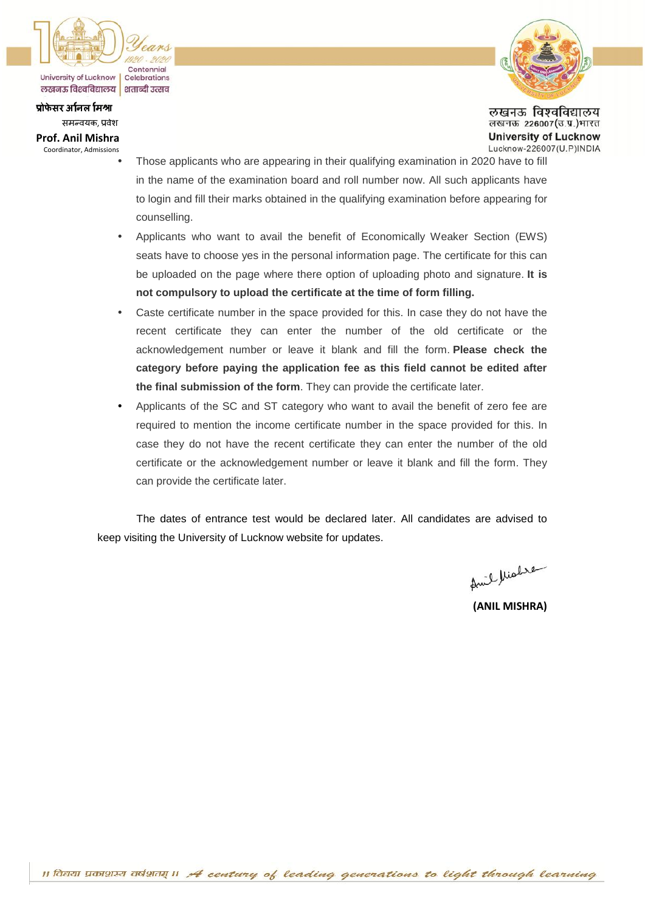

समन्वयक, प्रवेश

### **Prof. Anil Mishra**

Coordinator, Admissions



लखनऊ विश्वविद्यालय लखनऊ 226007(उ.प्र.)भारत **University of Lucknow** Lucknow-226007(U.P)INDIA

- Those applicants who are appearing in their qualifying examination in 2020 have to fill in the name of the examination board and roll number now. All such applicants have to login and fill their marks obtained in the qualifying examination before appearing for counselling.
- Applicants who want to avail the benefit of Economically Weaker Section (EWS) seats have to choose yes in the personal information page. The certificate for this can be uploaded on the page where there option of uploading photo and signature. **It is not compulsory to upload the certificate at the time of form filling.**
- Caste certificate number in the space provided for this. In case they do not have the recent certificate they can enter the number of the old certificate or the acknowledgement number or leave it blank and fill the form. **Please check the category before paying the application fee as this field cannot be edited after the final submission of the form**. They can provide the certificate later.
- Applicants of the SC and ST category who want to avail the benefit of zero fee are required to mention the income certificate number in the space provided for this. In case they do not have the recent certificate they can enter the number of the old certificate or the acknowledgement number or leave it blank and fill the form. They can provide the certificate later.

The dates of entrance test would be declared later. All candidates are advised to keep visiting the University of Lucknow website for updates.

Amil Miabre

**(ANIL MISHRA)**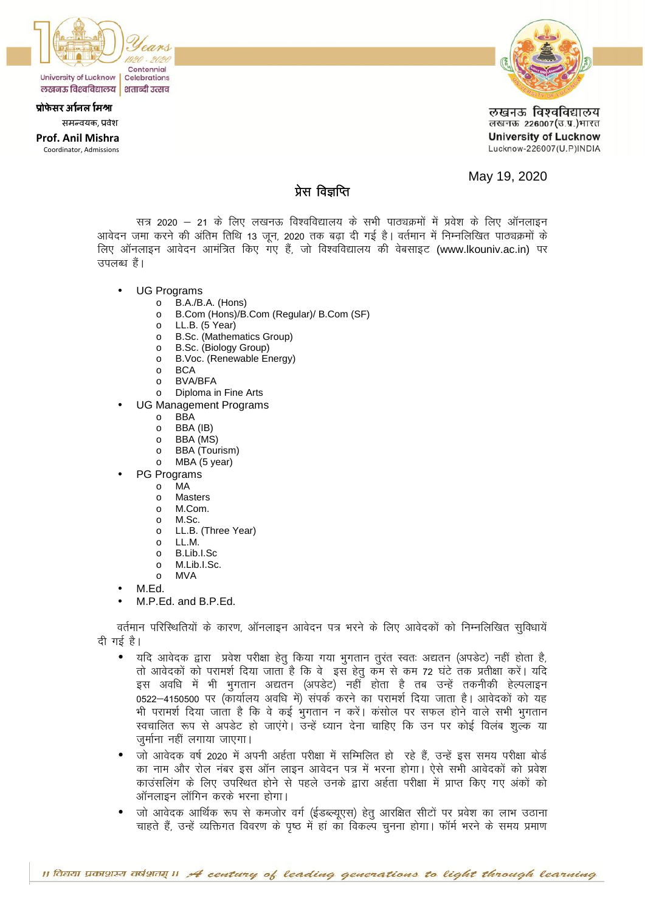

प्रोफेसर अनिल मिश्रा समन्वयक, प्रवेश

# **Prof. Anil Mishra**

Coordinator, Admissions



लखनऊ विश्वविद्यालय लखनऊ 226007(उ.प्र.)भारत **University of Lucknow** Lucknow-226007(U.P)INDIA

May 19, 2020

# प्रेस विज्ञप्ति

सत्र 2020 – 21 के लिए लखनऊ विश्वविद्यालय के सभी पाठ्यक्रमों में प्रवेश के लिए ऑनलाइन आवेदन जमा करने की अंतिम तिथि 13 जून, 2020 तक बढ़ा दी गई है। वर्तमान में निम्नलिखित पाठ्यक्रमों के लिए ऑनलाइन आवेदन आमंत्रित किए गए हैं, जो विश्वविद्यालय की वेबसाइट (www.lkouniv.ac.in) पर उपलब्ध हैं।

- **UG Programs** 
	- o B.A./B.A. (Hons)
	- o B.Com (Hons)/B.Com (Regular)/ B.Com (SF)
	- LL.B. (5 Year)  $\circ$
	- **B.Sc.** (Mathematics Group)  $\circ$
	- B.Sc. (Biology Group)  $\Omega$
	- B.Voc. (Renewable Energy)  $\circ$
	- **BCA**  $\circ$
	- **BVA/BFA**  $\circ$
	- Diploma in Fine Arts  $\circ$
- **UG Management Programs** 
	- **BBA**  $\Omega$
	- BBA (IB)  $\Omega$
	- BBA (MS)  $\circ$
	- **BBA** (Tourism)  $\circ$
	- MBA (5 year)  $\circ$
- PG Programs
	- **MA**  $\circ$
	- $\circ$ **Masters** M.Com.
	- $\cap$  $M$  Sc  $\Omega$
	- LL.B. (Three Year)  $\circ$
	- $\Omega$  $\blacksquare$
	- B.Lib.I.Sc  $\Omega$
	- M.Lib.L.Sc.  $\circ$
	- **MVA**  $\Omega$
- M.Ed.
- M.P.Ed. and B.P.Ed.

वर्तमान परिस्थितियों के कारण, ऑनलाइन आवेदन पत्र भरने के लिए आवेदकों को निम्नलिखित सुविधायें दी गई है।

- यदि आवेदक द्वारा प्रवेश परीक्षा हेतू किया गया भुगतान तूरंत स्वतः अद्यतन (अपडेट) नहीं होता है,  $\bullet$ तो आवेदकों को परामर्श दिया जाता है कि वेजडस हेत कम से कम 72 घंटे तक प्रतीक्षा करें। यदि इस अवधि में भी भुगतान अद्यतन (अपडेट) नहीं होता है तब उन्हें तकनीकी हेल्पलाइन 0522–4150500 पर (कार्यालय अवधि में) संपर्क करने का परामर्श दिया जाता है। आवेदकों को यह भी परामर्श दिया जाता है कि वे कई भुगतान न करें। कंसोल पर सफल होने वाले सभी भुगतान स्वचालित रूप से अपडेट हो जाएंगे। उन्हें ध्यान देना चाहिए कि उन पर कोई विलंब शुल्क या जर्माना नहीं लगाया जाएगा।
- जो आवेदक वर्ष 2020 में अपनी अर्हता परीक्षा में सम्मिलित हो रहे हैं, उन्हें इस समय परीक्षा बोर्ड का नाम और रोल नंबर इस ऑन लाइन आवेदन पत्र में भरना होगा। ऐसे सभी आवेदकों को प्रवेश काउंसलिंग के लिए उपस्थित होने से पहले उनके द्वारा अर्हता परीक्षा में प्राप्त किए गए अंकों को ऑनलाइन लॉगिन करके भरना होगा।
- जो आवेदक आर्थिक रूप से कमजोर वर्ग (ईडब्ल्यूएस) हेतु आरक्षित सीटों पर प्रवेश का लाभ उठाना चाहते हैं, उन्हें व्यक्तिगत विवरण के पृष्ठ में हां का विकल्प चुनना होगा। फॉर्म भरने के समय प्रमाण